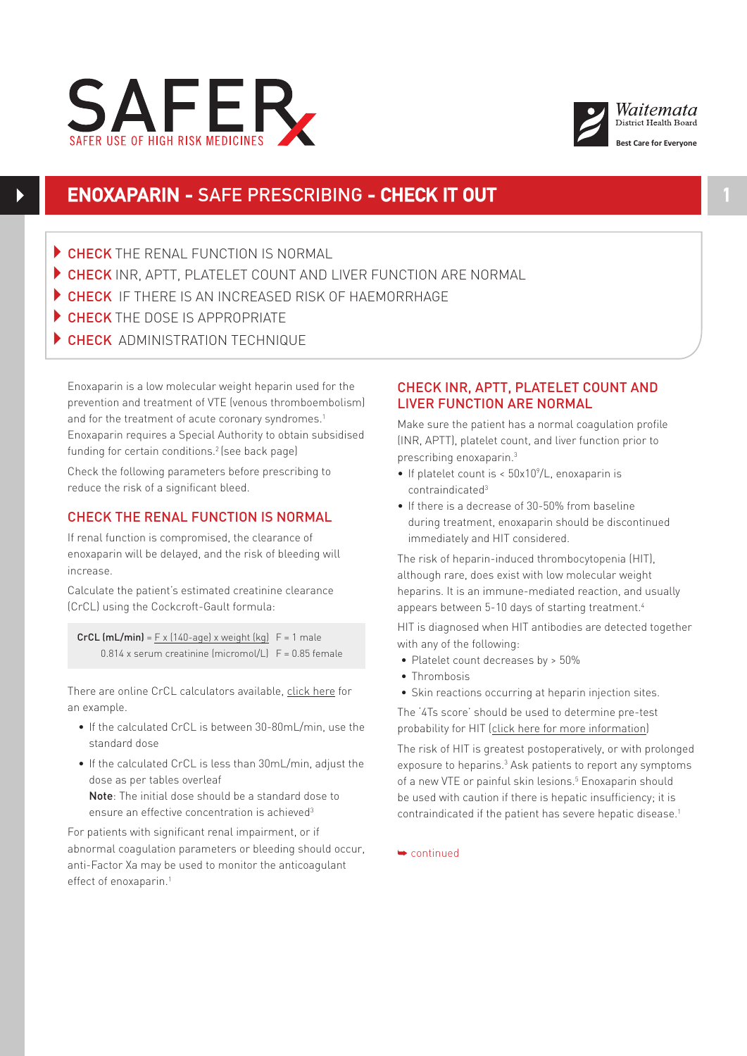



# **ENOXAPARIN -** SAFE PRESCRIBING **- CHECK IT OUT**

- $\triangleright$  CHECK THE RENAL FUNCTION IS NORMAL
- CHECK INR, APTT, PLATELET COUNT AND LIVER FUNCTION ARE NORMAL
- CHECK IF THERE IS AN INCREASED RISK OF HAEMORRHAGE
- CHECK THE DOSE IS APPROPRIATE
- **CHECK ADMINISTRATION TECHNIQUE**

Enoxaparin is a low molecular weight heparin used for the prevention and treatment of VTE (venous thromboembolism) and for the treatment of acute coronary syndromes.<sup>1</sup> Enoxaparin requires a Special Authority to obtain subsidised funding for certain conditions.<sup>2</sup> (see back page)

Check the following parameters before prescribing to reduce the risk of a significant bleed.

## CHECK THE RENAL FUNCTION IS NORMAL

If renal function is compromised, the clearance of enoxaparin will be delayed, and the risk of bleeding will increase.

Calculate the patient's estimated creatinine clearance (CrCL) using the Cockcroft-Gault formula:

CrCL  $(mL/min) = F \times (140 \text{-}aqe) \times weight (kq)$   $F = 1$  male 0.814 x serum creatinine (micromol/L) F = 0.85 female

There are online CrCL calculators available, [click here](www.mdcalc.com/creatinine-clearance-cockcroft-gault-equation/) for an example.

- If the calculated CrCL is between 30-80mL/min, use the standard dose
- If the calculated CrCL is less than 30mL/min, adjust the dose as per tables overleaf

Note: The initial dose should be a standard dose to ensure an effective concentration is achieved<sup>3</sup>

For patients with significant renal impairment, or if abnormal coagulation parameters or bleeding should occur, anti-Factor Xa may be used to monitor the anticoagulant effect of enoxaparin.<sup>1</sup>

## CHECK INR, APTT, PLATELET COUNT AND LIVER FUNCTION ARE NORMAL

Make sure the patient has a normal coagulation profile (INR, APTT), platelet count, and liver function prior to prescribing enoxaparin.3

- If platelet count is  $<$  50x10 $^{\circ}/$ L, enoxaparin is contraindicated3
- If there is a decrease of 30-50% from baseline during treatment, enoxaparin should be discontinued immediately and HIT considered.

The risk of heparin-induced thrombocytopenia (HIT), although rare, does exist with low molecular weight heparins. It is an immune-mediated reaction, and usually appears between 5-10 days of starting treatment.<sup>4</sup>

HIT is diagnosed when HIT antibodies are detected together with any of the following:

- • Platelet count decreases by > 50%
- Thrombosis
- Skin reactions occurring at heparin injection sites.

The '4Ts score' should be used to determine pre-test probability for HIT [\(click here for more information\)](http://www.mdcalc.com/4ts-score-heparin-induced-thrombocytopenia)

The risk of HIT is greatest postoperatively, or with prolonged exposure to heparins.<sup>3</sup> Ask patients to report any symptoms of a new VTE or painful skin lesions.<sup>5</sup> Enoxaparin should be used with caution if there is hepatic insufficiency; it is contraindicated if the patient has severe hepatic disease.1

➥ continued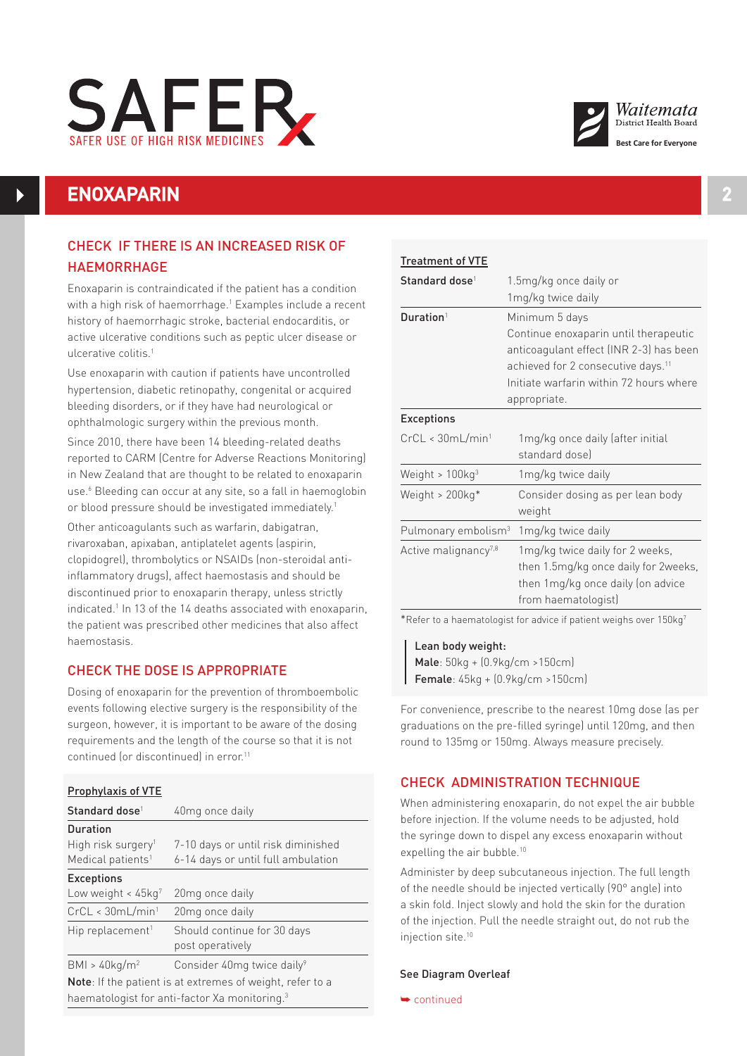



# **ENOXAPARIN 2**

## CHECK IF THERE IS AN INCREASED RISK OF HAEMORRHAGE

Enoxaparin is contraindicated if the patient has a condition with a high risk of haemorrhage.1 Examples include a recent history of haemorrhagic stroke, bacterial endocarditis, or active ulcerative conditions such as peptic ulcer disease or ulcerative colitis.1

Use enoxaparin with caution if patients have uncontrolled hypertension, diabetic retinopathy, congenital or acquired bleeding disorders, or if they have had neurological or ophthalmologic surgery within the previous month.

Since 2010, there have been 14 bleeding-related deaths reported to CARM (Centre for Adverse Reactions Monitoring) in New Zealand that are thought to be related to enoxaparin use.<sup>6</sup> Bleeding can occur at any site, so a fall in haemoglobin or blood pressure should be investigated immediately.<sup>1</sup>

Other anticoagulants such as warfarin, dabigatran, rivaroxaban, apixaban, antiplatelet agents (aspirin, clopidogrel), thrombolytics or NSAIDs (non-steroidal antiinflammatory drugs), affect haemostasis and should be discontinued prior to enoxaparin therapy, unless strictly indicated.<sup>1</sup> In 13 of the 14 deaths associated with enoxaparin, the patient was prescribed other medicines that also affect haemostasis.

## CHECK THE DOSE IS APPROPRIATE

Dosing of enoxaparin for the prevention of thromboembolic events following elective surgery is the responsibility of the surgeon, however, it is important to be aware of the dosing requirements and the length of the course so that it is not continued for discontinued) in error.<sup>11</sup>

| <b>Prophylaxis of VTE</b>                                         |                                        |  |
|-------------------------------------------------------------------|----------------------------------------|--|
| Standard dose <sup>1</sup>                                        | 40 <sub>mg</sub> once daily            |  |
| <b>Duration</b>                                                   |                                        |  |
| High risk surgery <sup>1</sup>                                    | 7-10 days or until risk diminished     |  |
| Medical patients <sup>1</sup>                                     | 6-14 days or until full ambulation     |  |
| <b>Exceptions</b>                                                 |                                        |  |
| Low weight $\lt 45$ kg <sup>7</sup>                               | 20 <sub>mg</sub> once daily            |  |
| CrCL < 30mL/min <sup>1</sup>                                      | 20mg once daily                        |  |
| Hip replacement <sup>1</sup>                                      | Should continue for 30 days            |  |
|                                                                   | post operatively                       |  |
| BMI > 40kg/m <sup>2</sup>                                         | Consider 40mg twice daily <sup>9</sup> |  |
| <b>Note</b> : If the patient is at extremes of weight, refer to a |                                        |  |
| haematologist for anti-factor Xa monitoring. <sup>3</sup>         |                                        |  |

| and the state of the state of the state of the state of the state of the state of the state of the state of th |  |  |
|----------------------------------------------------------------------------------------------------------------|--|--|
|                                                                                                                |  |  |
|                                                                                                                |  |  |
|                                                                                                                |  |  |
|                                                                                                                |  |  |
|                                                                                                                |  |  |
|                                                                                                                |  |  |

| <b>Treatment of VTE</b>          |                                                                                                                                                                                                                 |  |  |
|----------------------------------|-----------------------------------------------------------------------------------------------------------------------------------------------------------------------------------------------------------------|--|--|
| Standard dose <sup>1</sup>       | 1.5mg/kg once daily or<br>1mg/kg twice daily                                                                                                                                                                    |  |  |
| Duration <sup>1</sup>            | Minimum 5 days<br>Continue enoxaparin until therapeutic<br>anticoagulant effect (INR 2-3) has been<br>achieved for 2 consecutive days. <sup>11</sup><br>Initiate warfarin within 72 hours where<br>appropriate. |  |  |
| <b>Exceptions</b>                |                                                                                                                                                                                                                 |  |  |
| CrCL < 30mL/min <sup>1</sup>     | 1mg/kg once daily (after initial<br>standard dosel                                                                                                                                                              |  |  |
| Weight > $100kg3$                | 1mg/kg twice daily                                                                                                                                                                                              |  |  |
| Weight > 200kg*                  | Consider dosing as per lean body<br>weight                                                                                                                                                                      |  |  |
| Pulmonary embolism <sup>3</sup>  | 1mg/kg twice daily                                                                                                                                                                                              |  |  |
| Active malignancy <sup>7,8</sup> | 1mg/kg twice daily for 2 weeks,<br>then 1.5mg/kg once daily for 2weeks,<br>then 1mg/kg once daily (on advice<br>from haematologist)                                                                             |  |  |
|                                  | *Refer to a haematologist for advice if patient weighs over 150 $kg7$                                                                                                                                           |  |  |

Lean body weight: Male: 50kg + (0.9kg/cm >150cm) Female: 45kg + (0.9kg/cm >150cm)

For convenience, prescribe to the nearest 10mg dose (as per graduations on the pre-filled syringe) until 120mg, and then round to 135mg or 150mg. Always measure precisely.

## CHECK ADMINISTRATION TECHNIQUE

When administering enoxaparin, do not expel the air bubble before injection. If the volume needs to be adjusted, hold the syringe down to dispel any excess enoxaparin without expelling the air bubble.10

Administer by deep subcutaneous injection. The full length of the needle should be injected vertically (90° angle) into a skin fold. Inject slowly and hold the skin for the duration of the injection. Pull the needle straight out, do not rub the injection site.10

#### See Diagram Overleaf

➥ continued